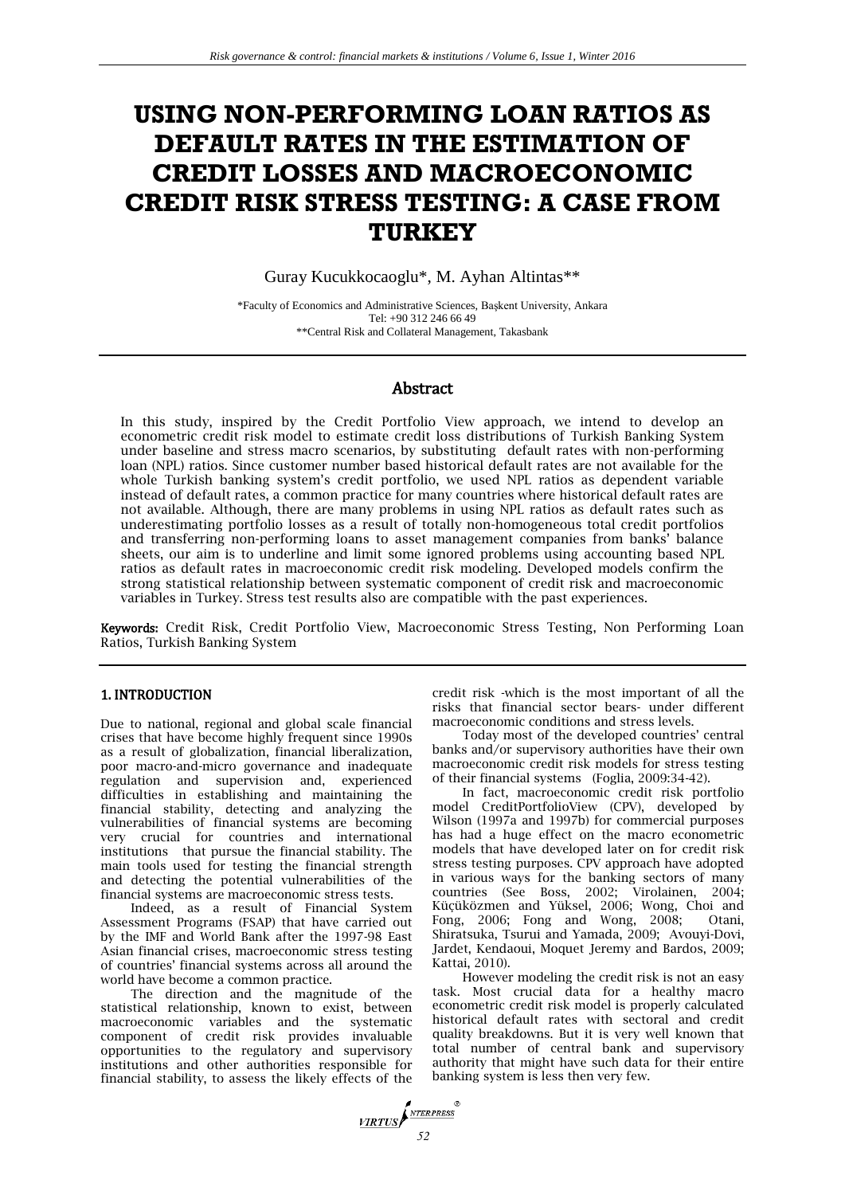# **USING NON-PERFORMING LOAN RATIOS AS DEFAULT RATES IN THE ESTIMATION OF CREDIT LOSSES AND MACROECONOMIC CREDIT RISK STRESS TESTING: A CASE FROM TURKEY**

Guray Kucukkocaoglu\*, M. Ayhan Altintas\*\*

\*Faculty of Economics and Administrative Sciences, Başkent University, Ankara Tel: +90 312 246 66 49 \*\*Central Risk and Collateral Management, Takasbank

# Abstract

In this study, inspired by the Credit Portfolio View approach, we intend to develop an econometric credit risk model to estimate credit loss distributions of Turkish Banking System under baseline and stress macro scenarios, by substituting default rates with non-performing loan (NPL) ratios. Since customer number based historical default rates are not available for the whole Turkish banking system's credit portfolio, we used NPL ratios as dependent variable instead of default rates, a common practice for many countries where historical default rates are not available. Although, there are many problems in using NPL ratios as default rates such as underestimating portfolio losses as a result of totally non-homogeneous total credit portfolios and transferring non-performing loans to asset management companies from banks' balance sheets, our aim is to underline and limit some ignored problems using accounting based NPL ratios as default rates in macroeconomic credit risk modeling. Developed models confirm the strong statistical relationship between systematic component of credit risk and macroeconomic variables in Turkey. Stress test results also are compatible with the past experiences.

Keywords: Credit Risk, Credit Portfolio View, Macroeconomic Stress Testing, Non Performing Loan Ratios, Turkish Banking System

# 1. INTRODUCTION

Due to national, regional and global scale financial crises that have become highly frequent since 1990s as a result of globalization, financial liberalization, poor macro-and-micro governance and inadequate regulation and supervision and, experienced difficulties in establishing and maintaining the financial stability, detecting and analyzing the vulnerabilities of financial systems are becoming very crucial for countries and international institutions that pursue the financial stability. The main tools used for testing the financial strength and detecting the potential vulnerabilities of the financial systems are macroeconomic stress tests.

Indeed, as a result of Financial System Assessment Programs (FSAP) that have carried out by the IMF and World Bank after the 1997-98 East Asian financial crises, macroeconomic stress testing of countries' financial systems across all around the world have become a common practice.

The direction and the magnitude of the statistical relationship, known to exist, between macroeconomic variables and the systematic component of credit risk provides invaluable opportunities to the regulatory and supervisory institutions and other authorities responsible for financial stability, to assess the likely effects of the

credit risk -which is the most important of all the risks that financial sector bears- under different macroeconomic conditions and stress levels.

Today most of the developed countries' central banks and/or supervisory authorities have their own macroeconomic credit risk models for stress testing of their financial systems (Foglia, 2009:34-42).

In fact, macroeconomic credit risk portfolio model CreditPortfolioView (CPV), developed by Wilson (1997a and 1997b) for commercial purposes has had a huge effect on the macro econometric models that have developed later on for credit risk stress testing purposes. CPV approach have adopted in various ways for the banking sectors of many countries (See Boss, 2002; Virolainen, 2004; Küçüközmen and Yüksel, 2006; Wong, Choi and Fong, 2006; Fong and Wong, 2008; Otani, Shiratsuka, Tsurui and Yamada, 2009; Avouyi-Dovi, Jardet, Kendaoui, Moquet Jeremy and Bardos, 2009; Kattai, 2010).

However modeling the credit risk is not an easy task. Most crucial data for a healthy macro econometric credit risk model is properly calculated historical default rates with sectoral and credit quality breakdowns. But it is very well known that total number of central bank and supervisory authority that might have such data for their entire banking system is less then very few.

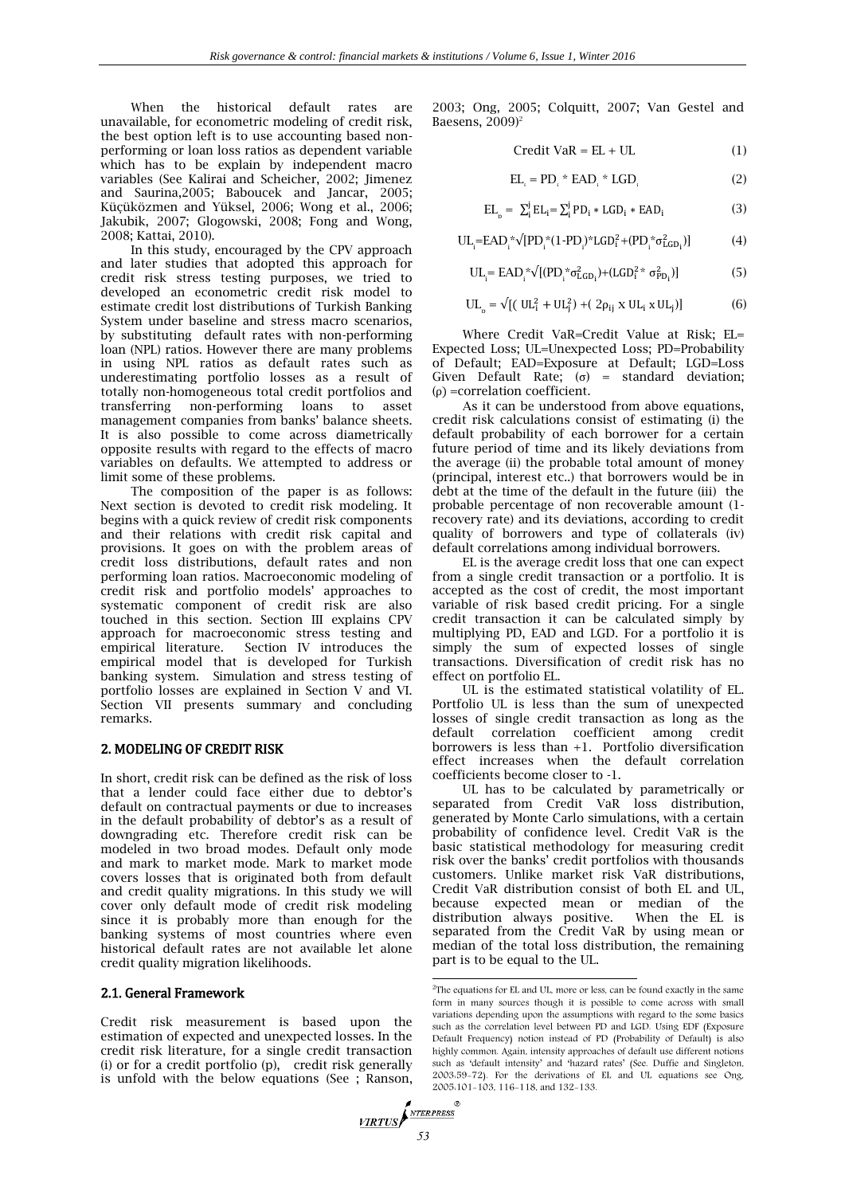When the historical default rates are unavailable, for econometric modeling of credit risk, the best option left is to use accounting based nonperforming or loan loss ratios as dependent variable which has to be explain by independent macro variables (See Kalirai and Scheicher, 2002; Jimenez and Saurina,2005; Baboucek and Jancar, 2005; Küçüközmen and Yüksel, 2006; Wong et al., 2006; Jakubik, 2007; Glogowski, 2008; Fong and Wong, 2008; Kattai, 2010).

In this study, encouraged by the CPV approach and later studies that adopted this approach for credit risk stress testing purposes, we tried to developed an econometric credit risk model to estimate credit lost distributions of Turkish Banking System under baseline and stress macro scenarios, by substituting default rates with non-performing loan (NPL) ratios. However there are many problems in using NPL ratios as default rates such as underestimating portfolio losses as a result of totally non-homogeneous total credit portfolios and transferring non-performing loans to asset management companies from banks' balance sheets. It is also possible to come across diametrically opposite results with regard to the effects of macro variables on defaults. We attempted to address or limit some of these problems.

The composition of the paper is as follows: Next section is devoted to credit risk modeling. It begins with a quick review of credit risk components and their relations with credit risk capital and provisions. It goes on with the problem areas of credit loss distributions, default rates and non performing loan ratios. Macroeconomic modeling of credit risk and portfolio models' approaches to systematic component of credit risk are also touched in this section. Section III explains CPV approach for macroeconomic stress testing and empirical literature. Section IV introduces the empirical model that is developed for Turkish banking system. Simulation and stress testing of portfolio losses are explained in Section V and VI. Section VII presents summary and concluding remarks.

#### 2. MODELING OF CREDIT RISK

In short, credit risk can be defined as the risk of loss that a lender could face either due to debtor's default on contractual payments or due to increases in the default probability of debtor's as a result of downgrading etc. Therefore credit risk can be modeled in two broad modes. Default only mode and mark to market mode. Mark to market mode covers losses that is originated both from default and credit quality migrations. In this study we will cover only default mode of credit risk modeling since it is probably more than enough for the banking systems of most countries where even historical default rates are not available let alone credit quality migration likelihoods.

## 2.1. General Framework

Credit risk measurement is based upon the estimation of expected and unexpected losses. In the credit risk literature, for a single credit transaction (i) or for a credit portfolio (p), credit risk generally is unfold with the below equations (See ; Ranson,

2003; Ong, 2005; Colquitt, 2007; Van Gestel and Baesens,  $2009$ <sup>2</sup>

$$
Credit VaR = EL + UL \tag{1}
$$

$$
EL_{i} = PD_{i} * EAD_{i} * LGD_{i}
$$
 (2)

$$
EL_{n} = \sum_{i}^{j} EL_{i} = \sum_{i}^{j} PD_{i} * LGD_{i} * EAD_{i}
$$
 (3)

$$
UL_{i} = EAD_{i}^{*}\sqrt{[PD_{i}^{*}(1-PD_{i})^{*}LGD_{i}^{2} + (PD_{i}^{*}\sigma_{LGD_{i}}^{2})]}
$$
 (4)

$$
UL_i = EAD_i^* \sqrt{[(PD_i^* \sigma_{LGD_i}^2) + (LGD_i^2 * \sigma_{PD_i}^2)]}
$$
(5)

$$
UL_{p} = \sqrt{[(UL_{i}^{2} + UL_{j}^{2}) + (2\rho_{ij} \times UL_{i} \times UL_{j})]}
$$
(6)

Where Credit VaR=Credit Value at Risk; EL= Expected Loss; UL=Unexpected Loss; PD=Probability of Default; EAD=Exposure at Default; LGD=Loss Given Default Rate;  $(\sigma)$  = standard deviation; (ρ) =correlation coefficient.

As it can be understood from above equations, credit risk calculations consist of estimating (i) the default probability of each borrower for a certain future period of time and its likely deviations from the average (ii) the probable total amount of money (principal, interest etc..) that borrowers would be in debt at the time of the default in the future (iii) the probable percentage of non recoverable amount (1 recovery rate) and its deviations, according to credit quality of borrowers and type of collaterals (iv) default correlations among individual borrowers.

EL is the average credit loss that one can expect from a single credit transaction or a portfolio. It is accepted as the cost of credit, the most important variable of risk based credit pricing. For a single credit transaction it can be calculated simply by multiplying PD, EAD and LGD. For a portfolio it is simply the sum of expected losses of single transactions. Diversification of credit risk has no effect on portfolio EL.

UL is the estimated statistical volatility of EL. Portfolio UL is less than the sum of unexpected losses of single credit transaction as long as the default correlation coefficient among credit borrowers is less than +1. Portfolio diversification effect increases when the default correlation coefficients become closer to -1.

UL has to be calculated by parametrically or separated from Credit VaR loss distribution, generated by Monte Carlo simulations, with a certain probability of confidence level. Credit VaR is the basic statistical methodology for measuring credit risk over the banks' credit portfolios with thousands customers. Unlike market risk VaR distributions, Credit VaR distribution consist of both EL and UL, because expected mean or median of the distribution always positive. When the EL is separated from the Credit VaR by using mean or median of the total loss distribution, the remaining part is to be equal to the UL.

 2 The equations for EL and UL, more or less, can be found exactly in the same form in many sources though it is possible to come across with small variations depending upon the assumptions with regard to the some basics such as the correlation level between PD and LGD. Using EDF (Exposure Default Frequency) notion instead of PD (Probability of Default) is also highly common. Again, intensity approaches of default use different notions such as 'default intensity' and 'hazard rates' (See. Duffie and Singleton, 2003:59-72). For the derivations of EL and UL equations see Ong, 2005:101-103, 116-118, and 132-133.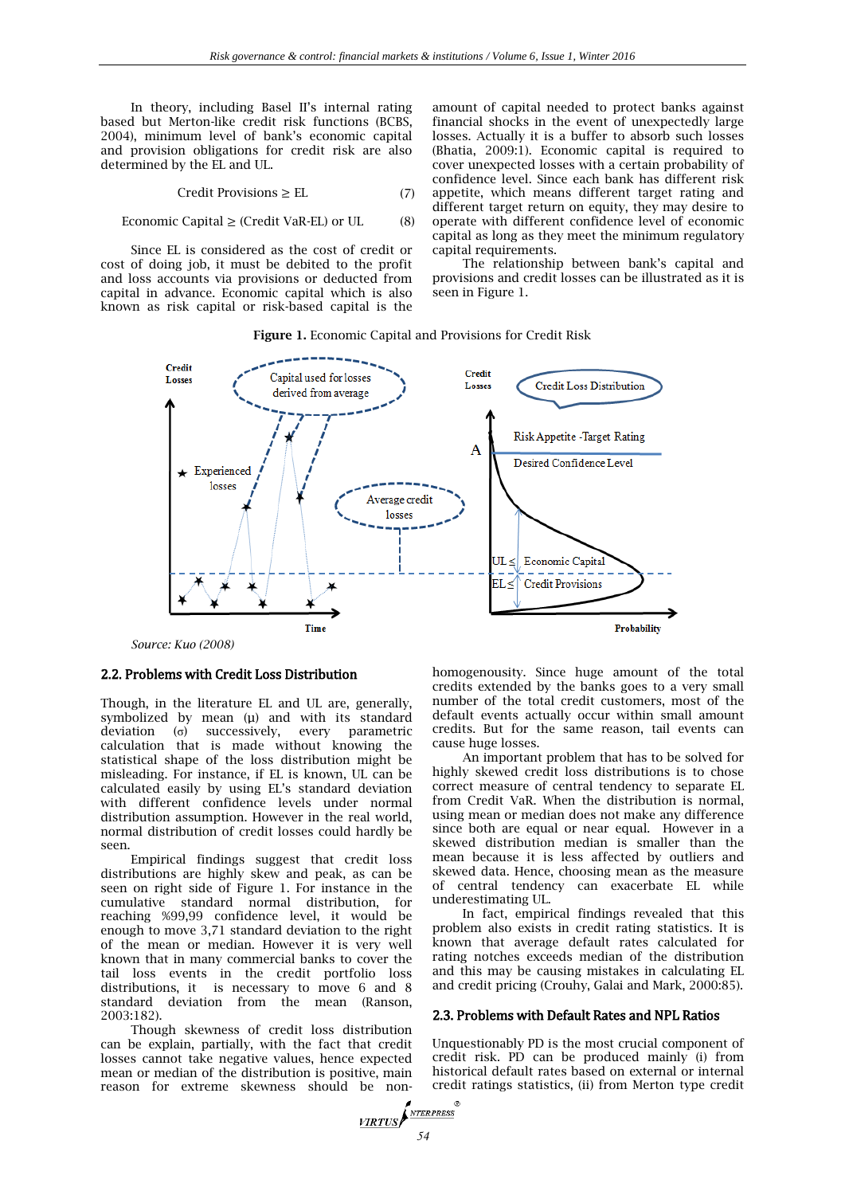In theory, including Basel II's internal rating based but Merton-like credit risk functions (BCBS, 2004), minimum level of bank's economic capital and provision obligations for credit risk are also determined by the EL and UL.

$$
Credit Provisions \ge EL
$$
 (7)

#### Economic Capital  $\geq$  (Credit VaR-EL) or UL (8)

Since EL is considered as the cost of credit or cost of doing job, it must be debited to the profit and loss accounts via provisions or deducted from capital in advance. Economic capital which is also known as risk capital or risk-based capital is the

amount of capital needed to protect banks against financial shocks in the event of unexpectedly large losses. Actually it is a buffer to absorb such losses (Bhatia, 2009:1). Economic capital is required to cover unexpected losses with a certain probability of confidence level. Since each bank has different risk appetite, which means different target rating and different target return on equity, they may desire to operate with different confidence level of economic capital as long as they meet the minimum regulatory capital requirements.

The relationship between bank's capital and provisions and credit losses can be illustrated as it is seen in Figure 1.

#### **Figure 1.** Economic Capital and Provisions for Credit Risk



*Source: Kuo (2008)*

# 2.2. Problems with Credit Loss Distribution

Though, in the literature EL and UL are, generally, symbolized by mean (µ) and with its standard deviation (σ) successively, every parametric calculation that is made without knowing the statistical shape of the loss distribution might be misleading. For instance, if EL is known, UL can be calculated easily by using EL's standard deviation with different confidence levels under normal distribution assumption. However in the real world, normal distribution of credit losses could hardly be seen.

Empirical findings suggest that credit loss distributions are highly skew and peak, as can be seen on right side of Figure 1. For instance in the cumulative standard normal distribution, for reaching %99,99 confidence level, it would be enough to move 3,71 standard deviation to the right of the mean or median. However it is very well known that in many commercial banks to cover the tail loss events in the credit portfolio loss distributions, it is necessary to move 6 and 8 standard deviation from the mean (Ranson, 2003:182).

Though skewness of credit loss distribution can be explain, partially, with the fact that credit losses cannot take negative values, hence expected mean or median of the distribution is positive, main reason for extreme skewness should be nonhomogenousity. Since huge amount of the total credits extended by the banks goes to a very small number of the total credit customers, most of the default events actually occur within small amount credits. But for the same reason, tail events can cause huge losses.

An important problem that has to be solved for highly skewed credit loss distributions is to chose correct measure of central tendency to separate EL from Credit VaR. When the distribution is normal, using mean or median does not make any difference since both are equal or near equal. However in a skewed distribution median is smaller than the mean because it is less affected by outliers and skewed data. Hence, choosing mean as the measure of central tendency can exacerbate EL while underestimating UL.

In fact, empirical findings revealed that this problem also exists in credit rating statistics. It is known that average default rates calculated for rating notches exceeds median of the distribution and this may be causing mistakes in calculating EL and credit pricing (Crouhy, Galai and Mark, 2000:85).

## 2.3. Problems with Default Rates and NPL Ratios

Unquestionably PD is the most crucial component of credit risk. PD can be produced mainly (i) from historical default rates based on external or internal credit ratings statistics, (ii) from Merton type credit

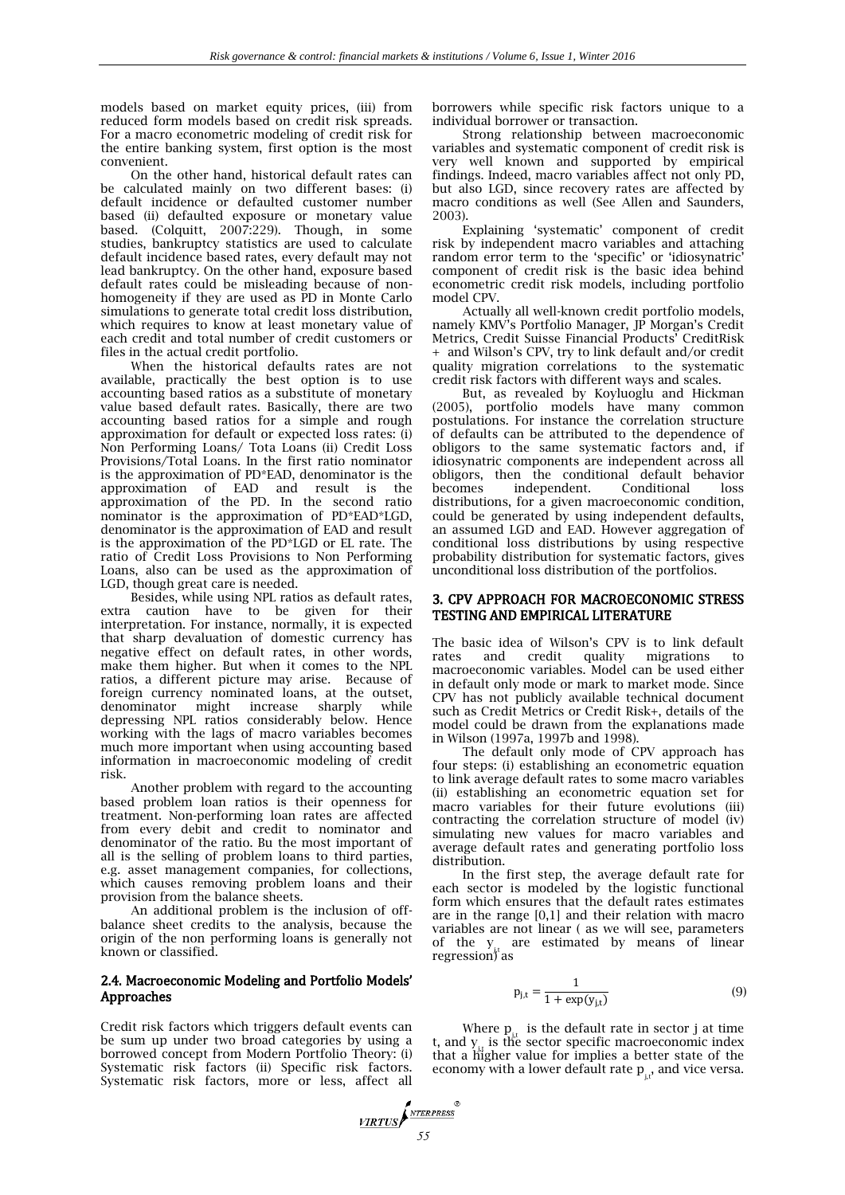models based on market equity prices, (iii) from reduced form models based on credit risk spreads. For a macro econometric modeling of credit risk for the entire banking system, first option is the most convenient.

On the other hand, historical default rates can be calculated mainly on two different bases: (i) default incidence or defaulted customer number based (ii) defaulted exposure or monetary value based. (Colquitt, 2007:229). Though, in some studies, bankruptcy statistics are used to calculate default incidence based rates, every default may not lead bankruptcy. On the other hand, exposure based default rates could be misleading because of nonhomogeneity if they are used as PD in Monte Carlo simulations to generate total credit loss distribution, which requires to know at least monetary value of each credit and total number of credit customers or files in the actual credit portfolio.

When the historical defaults rates are not available, practically the best option is to use accounting based ratios as a substitute of monetary value based default rates. Basically, there are two accounting based ratios for a simple and rough approximation for default or expected loss rates: (i) Non Performing Loans/ Tota Loans (ii) Credit Loss Provisions/Total Loans. In the first ratio nominator is the approximation of PD\*EAD, denominator is the approximation of EAD and result is the approximation of the PD. In the second ratio nominator is the approximation of PD\*EAD\*LGD, denominator is the approximation of EAD and result is the approximation of the PD\*LGD or EL rate. The ratio of Credit Loss Provisions to Non Performing Loans, also can be used as the approximation of LGD, though great care is needed.

Besides, while using NPL ratios as default rates, extra caution have to be given for their interpretation. For instance, normally, it is expected that sharp devaluation of domestic currency has negative effect on default rates, in other words, make them higher. But when it comes to the NPL ratios, a different picture may arise. Because of foreign currency nominated loans, at the outset, denominator might increase sharply while depressing NPL ratios considerably below. Hence working with the lags of macro variables becomes much more important when using accounting based information in macroeconomic modeling of credit risk.

Another problem with regard to the accounting based problem loan ratios is their openness for treatment. Non-performing loan rates are affected from every debit and credit to nominator and denominator of the ratio. Bu the most important of all is the selling of problem loans to third parties, e.g. asset management companies, for collections, which causes removing problem loans and their provision from the balance sheets.

An additional problem is the inclusion of offbalance sheet credits to the analysis, because the origin of the non performing loans is generally not known or classified.

# 2.4. Macroeconomic Modeling and Portfolio Models' Approaches

Credit risk factors which triggers default events can be sum up under two broad categories by using a borrowed concept from Modern Portfolio Theory: (i) Systematic risk factors (ii) Specific risk factors. Systematic risk factors, more or less, affect all borrowers while specific risk factors unique to a individual borrower or transaction.

Strong relationship between macroeconomic variables and systematic component of credit risk is very well known and supported by empirical findings. Indeed, macro variables affect not only PD, but also LGD, since recovery rates are affected by macro conditions as well (See Allen and Saunders, 2003).

Explaining 'systematic' component of credit risk by independent macro variables and attaching random error term to the 'specific' or 'idiosynatric' component of credit risk is the basic idea behind econometric credit risk models, including portfolio model CPV

Actually all well-known credit portfolio models, namely KMV's Portfolio Manager, JP Morgan's Credit Metrics, Credit Suisse Financial Products' CreditRisk + and Wilson's CPV, try to link default and/or credit quality migration correlations to the systematic credit risk factors with different ways and scales.

But, as revealed by Koyluoglu and Hickman (2005), portfolio models have many common postulations. For instance the correlation structure of defaults can be attributed to the dependence of obligors to the same systematic factors and, if idiosynatric components are independent across all obligors, then the conditional default behavior becomes independent. Conditional loss distributions, for a given macroeconomic condition, could be generated by using independent defaults, an assumed LGD and EAD. However aggregation of conditional loss distributions by using respective probability distribution for systematic factors, gives unconditional loss distribution of the portfolios.

# 3. CPV APPROACH FOR MACROECONOMIC STRESS TESTING AND EMPIRICAL LITERATURE

The basic idea of Wilson's CPV is to link default<br>rates and credit quality migrations to rates and credit quality migrations macroeconomic variables. Model can be used either in default only mode or mark to market mode. Since CPV has not publicly available technical document such as Credit Metrics or Credit Risk+, details of the model could be drawn from the explanations made in Wilson (1997a, 1997b and 1998).

The default only mode of CPV approach has four steps: (i) establishing an econometric equation to link average default rates to some macro variables (ii) establishing an econometric equation set for macro variables for their future evolutions (iii) contracting the correlation structure of model (iv) simulating new values for macro variables and average default rates and generating portfolio loss distribution.

In the first step, the average default rate for each sector is modeled by the logistic functional form which ensures that the default rates estimates are in the range [0,1] and their relation with macro variables are not linear ( as we will see, parameters of the  $y_{j,t}$  are estimated by means of linear regression) as

$$
p_{j,t} = \frac{1}{1 + \exp(y_{j,t})}
$$
 (9)

Where  $p_{j,t}$  is the default rate in sector j at time  $t$ , and  $y_{j,t}$  is the sector specific macroeconomic index that a higher value for implies a better state of the economy with a lower default rate  $p_{\mu}$ , and vice versa.

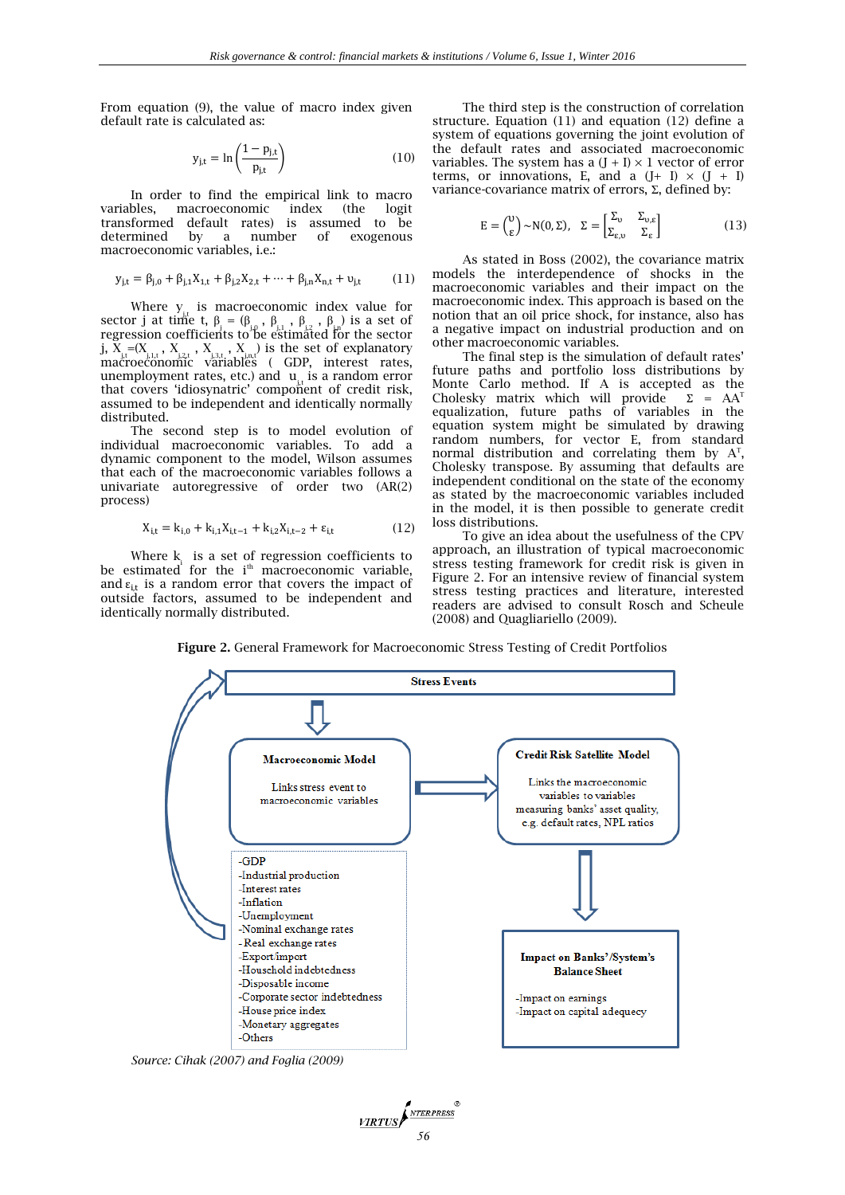From equation (9), the value of macro index given default rate is calculated as:

$$
y_{j,t} = \ln\left(\frac{1 - p_{j,t}}{p_{j,t}}\right) \tag{10}
$$

In order to find the empirical link to macro variables, macroeconomic index (the logit transformed default rates) is assumed to be determined by a number of exogenous macroeconomic variables, i.e.:

$$
y_{j,t} = \beta_{j,0} + \beta_{j,1}X_{1,t} + \beta_{j,2}X_{2,t} + \dots + \beta_{j,n}X_{n,t} + \nu_{j,t}
$$
 (11)

Where  $y_{j,t}$  is macroeconomic index value for sector j at time t,  $\beta_j = (\beta_{j,0}, \beta_{j,1}, \beta_{j,2}, \beta_{j,n})$  is a set of regression coefficients to be estimated for the sector j,  $X_{j,t} = (X_{j,1,t}, X_{j,2,t}, X_{j,3,t}, X_{j,n,t})$  is the set of explanatory macroeconomic variables ( GDP, interest rates, unemployment rates, etc.) and  $\mathbf{u}_{j,t}$  is a random error that covers 'idiosynatric' compoñent of credit risk, assumed to be independent and identically normally distributed.

The second step is to model evolution of individual macroeconomic variables. To add a dynamic component to the model, Wilson assumes that each of the macroeconomic variables follows a univariate autoregressive of order two (AR(2) process)

$$
X_{i,t} = k_{i,0} + k_{i,1}X_{i,t-1} + k_{i,2}X_{i,t-2} + \varepsilon_{i,t}
$$
 (12)

Where  $k_i$  is a set of regression coefficients to be estimated for the i<sup>th</sup> macroeconomic variable, and  $\varepsilon_{i,t}$  is a random error that covers the impact of outside factors, assumed to be independent and identically normally distributed.

The third step is the construction of correlation structure. Equation (11) and equation (12) define a system of equations governing the joint evolution of the default rates and associated macroeconomic variables. The system has a  $(J + I) \times 1$  vector of error terms, or innovations, E, and a  $(J+ I) \times (J + I)$ variance-covariance matrix of errors, Σ, defined by:

$$
E = \begin{pmatrix} 0 \\ \varepsilon \end{pmatrix} \sim N(0, \Sigma), \quad \Sigma = \begin{bmatrix} \Sigma_{\upsilon} & \Sigma_{\upsilon, \varepsilon} \\ \Sigma_{\varepsilon, \upsilon} & \Sigma_{\varepsilon} \end{bmatrix} \tag{13}
$$

As stated in Boss (2002), the covariance matrix models the interdependence of shocks in the macroeconomic variables and their impact on the macroeconomic index. This approach is based on the notion that an oil price shock, for instance, also has a negative impact on industrial production and on other macroeconomic variables.

The final step is the simulation of default rates' future paths and portfolio loss distributions by Monte Carlo method. If A is accepted as the Cholesky matrix which will provide  $\Sigma = AA^T$ Cholesky matrix which will provide equalization, future paths of variables in the equation system might be simulated by drawing random numbers, for vector E, from standard normal distribution and correlating them by  $A<sup>T</sup>$ , Cholesky transpose. By assuming that defaults are independent conditional on the state of the economy as stated by the macroeconomic variables included in the model, it is then possible to generate credit loss distributions.

To give an idea about the usefulness of the CPV approach, an illustration of typical macroeconomic stress testing framework for credit risk is given in Figure 2. For an intensive review of financial system stress testing practices and literature, interested readers are advised to consult Rosch and Scheule (2008) and Quagliariello (2009).

**Figure 2.** General Framework for Macroeconomic Stress Testing of Credit Portfolios



*56*

**VIRTUS** 

NTERPRESS

*Source: Cihak (2007) and Foglia (2009)*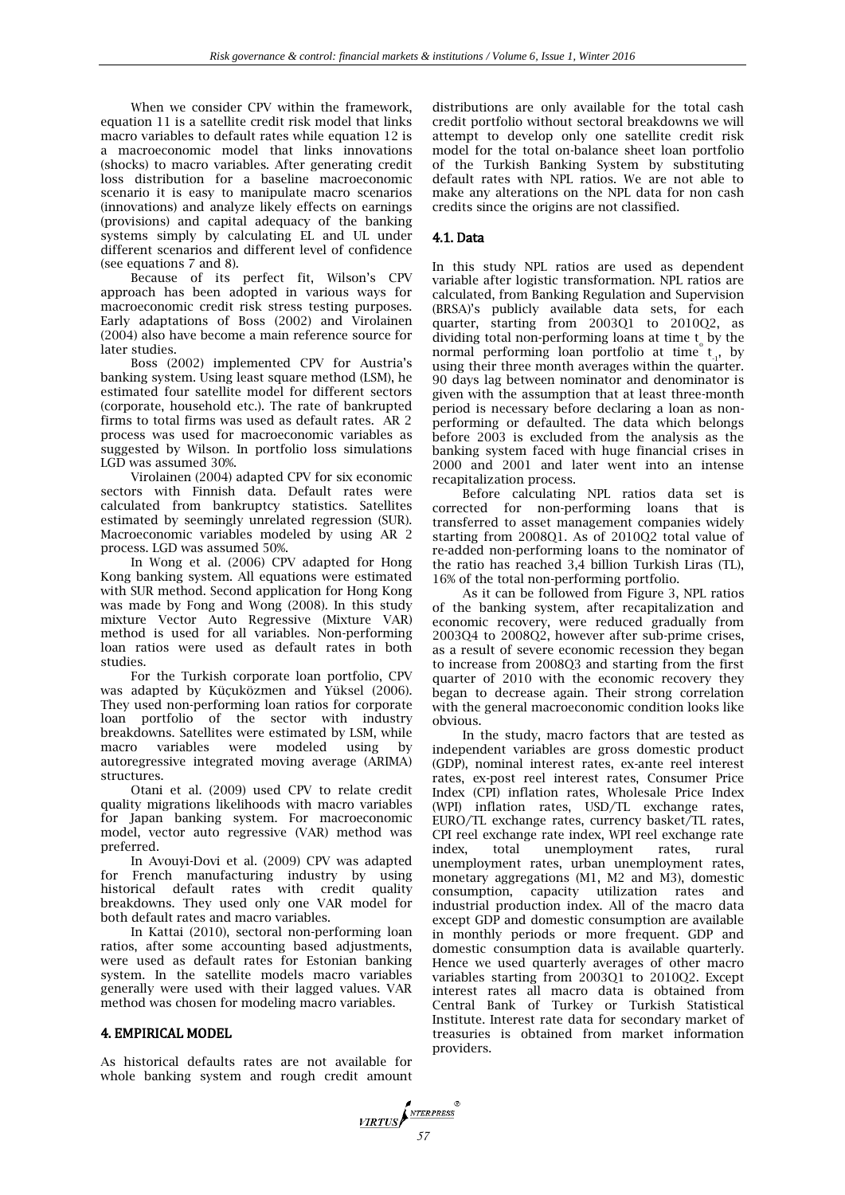When we consider CPV within the framework, equation 11 is a satellite credit risk model that links macro variables to default rates while equation 12 is a macroeconomic model that links innovations (shocks) to macro variables. After generating credit loss distribution for a baseline macroeconomic scenario it is easy to manipulate macro scenarios (innovations) and analyze likely effects on earnings (provisions) and capital adequacy of the banking systems simply by calculating EL and UL under different scenarios and different level of confidence (see equations 7 and 8).

Because of its perfect fit, Wilson's CPV approach has been adopted in various ways for macroeconomic credit risk stress testing purposes. Early adaptations of Boss (2002) and Virolainen (2004) also have become a main reference source for later studies.

Boss (2002) implemented CPV for Austria's banking system. Using least square method (LSM), he estimated four satellite model for different sectors (corporate, household etc.). The rate of bankrupted firms to total firms was used as default rates. AR 2 process was used for macroeconomic variables as suggested by Wilson. In portfolio loss simulations LGD was assumed 30%.

Virolainen (2004) adapted CPV for six economic sectors with Finnish data. Default rates were calculated from bankruptcy statistics. Satellites estimated by seemingly unrelated regression (SUR). Macroeconomic variables modeled by using AR 2 process. LGD was assumed 50%.

In Wong et al. (2006) CPV adapted for Hong Kong banking system. All equations were estimated with SUR method. Second application for Hong Kong was made by Fong and Wong (2008). In this study mixture Vector Auto Regressive (Mixture VAR) method is used for all variables. Non-performing loan ratios were used as default rates in both studies.

For the Turkish corporate loan portfolio, CPV was adapted by Küçuközmen and Yüksel (2006). They used non-performing loan ratios for corporate loan portfolio of the sector with industry breakdowns. Satellites were estimated by LSM, while macro variables were modeled using by autoregressive integrated moving average (ARIMA) structures.

Otani et al. (2009) used CPV to relate credit quality migrations likelihoods with macro variables for Japan banking system. For macroeconomic model, vector auto regressive (VAR) method was preferred.

In Avouyi-Dovi et al. (2009) CPV was adapted for French manufacturing industry by using historical default rates with credit quality breakdowns. They used only one VAR model for both default rates and macro variables.

In Kattai (2010), sectoral non-performing loan ratios, after some accounting based adjustments, were used as default rates for Estonian banking system. In the satellite models macro variables generally were used with their lagged values. VAR method was chosen for modeling macro variables.

# 4. EMPIRICAL MODEL

As historical defaults rates are not available for whole banking system and rough credit amount

distributions are only available for the total cash credit portfolio without sectoral breakdowns we will attempt to develop only one satellite credit risk model for the total on-balance sheet loan portfolio of the Turkish Banking System by substituting default rates with NPL ratios. We are not able to make any alterations on the NPL data for non cash credits since the origins are not classified.

# 4.1. Data

In this study NPL ratios are used as dependent variable after logistic transformation. NPL ratios are calculated, from Banking Regulation and Supervision (BRSA)'s publicly available data sets, for each quarter, starting from 2003Q1 to 2010Q2, as dividing total non-performing loans at time t by the normal performing loan portfolio at time  $t_{1}$ , by  $\frac{1}{1}$ ,  $\frac{1}{2}$ ,  $\frac{1}{2}$ ,  $\frac{1}{2}$ ,  $\frac{1}{2}$ ,  $\frac{1}{2}$ ,  $\frac{1}{2}$ ,  $\frac{1}{2}$ ,  $\frac{1}{2}$ ,  $\frac{1}{2}$ ,  $\frac{1}{2}$ ,  $\frac{1}{2}$ ,  $\frac{1}{2}$ ,  $\frac{1}{2}$ ,  $\frac{1}{2}$ ,  $\frac{1}{2}$ ,  $\frac{1}{2}$ ,  $\frac{1}{2}$ ,  $\frac{1}{2}$ ,  $\frac{1}{2}$ , 90 days lag between nominator and denominator is given with the assumption that at least three-month period is necessary before declaring a loan as nonperforming or defaulted. The data which belongs before 2003 is excluded from the analysis as the banking system faced with huge financial crises in 2000 and 2001 and later went into an intense recapitalization process.

Before calculating NPL ratios data set is corrected for non-performing loans that is transferred to asset management companies widely starting from 2008Q1. As of 2010Q2 total value of re-added non-performing loans to the nominator of the ratio has reached 3,4 billion Turkish Liras (TL), 16% of the total non-performing portfolio.

As it can be followed from Figure 3, NPL ratios of the banking system, after recapitalization and economic recovery, were reduced gradually from 2003Q4 to 2008Q2, however after sub-prime crises, as a result of severe economic recession they began to increase from 2008Q3 and starting from the first quarter of 2010 with the economic recovery they began to decrease again. Their strong correlation with the general macroeconomic condition looks like obvious.

In the study, macro factors that are tested as independent variables are gross domestic product (GDP), nominal interest rates, ex-ante reel interest rates, ex-post reel interest rates, Consumer Price Index (CPI) inflation rates, Wholesale Price Index (WPI) inflation rates, USD/TL exchange rates, EURO/TL exchange rates, currency basket/TL rates, CPI reel exchange rate index, WPI reel exchange rate index, total unemployment rates, rural unemployment rates, urban unemployment rates, monetary aggregations (M1, M2 and M3), domestic consumption, capacity utilization rates and industrial production index. All of the macro data except GDP and domestic consumption are available in monthly periods or more frequent. GDP and domestic consumption data is available quarterly. Hence we used quarterly averages of other macro variables starting from 2003Q1 to 2010Q2. Except interest rates all macro data is obtained from Central Bank of Turkey or Turkish Statistical Institute. Interest rate data for secondary market of treasuries is obtained from market information providers.

*57*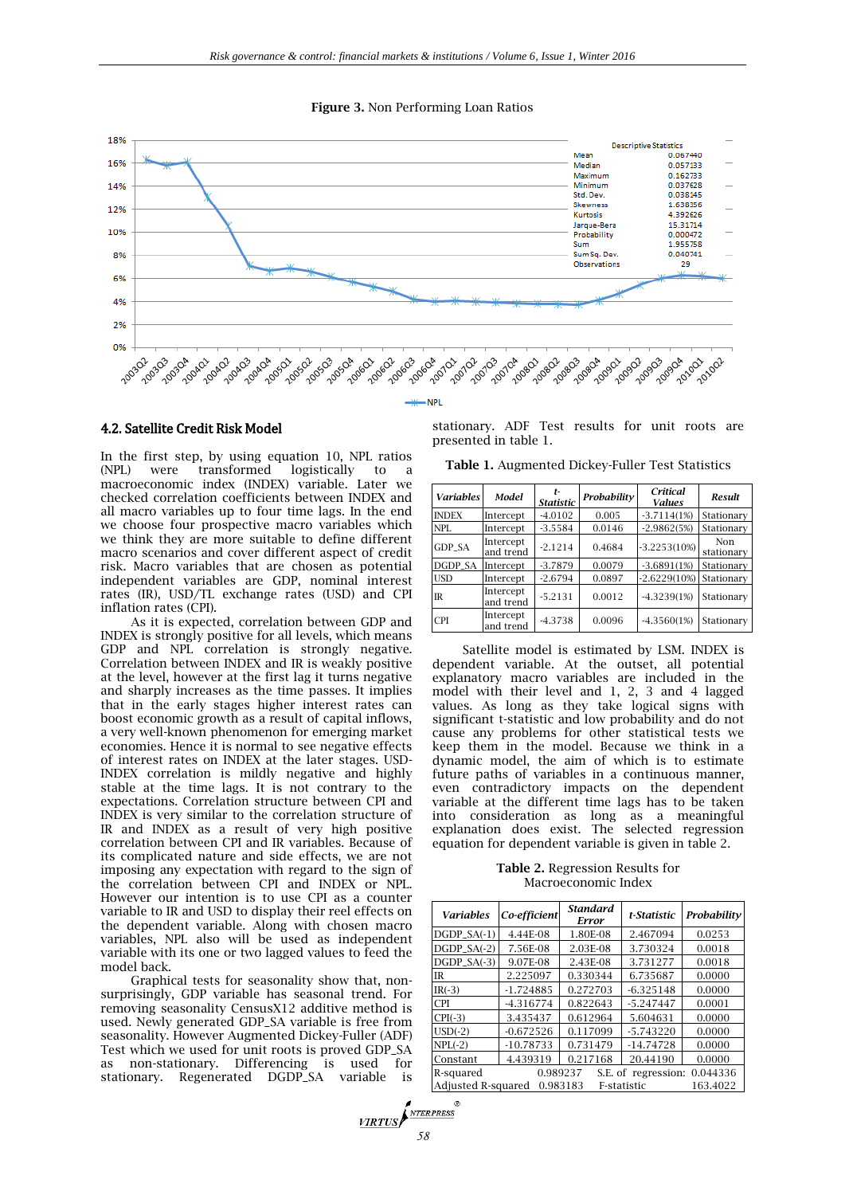#### **Figure 3.** Non Performing Loan Ratios



4.2. Satellite Credit Risk Model

In the first step, by using equation 10, NPL ratios were transformed logistically to a macroeconomic index (INDEX) variable. Later we checked correlation coefficients between INDEX and all macro variables up to four time lags. In the end we choose four prospective macro variables which we think they are more suitable to define different macro scenarios and cover different aspect of credit risk. Macro variables that are chosen as potential independent variables are GDP, nominal interest rates (IR), USD/TL exchange rates (USD) and CPI inflation rates (CPI).

As it is expected, correlation between GDP and INDEX is strongly positive for all levels, which means GDP and NPL correlation is strongly negative. Correlation between INDEX and IR is weakly positive at the level, however at the first lag it turns negative and sharply increases as the time passes. It implies that in the early stages higher interest rates can boost economic growth as a result of capital inflows, a very well-known phenomenon for emerging market economies. Hence it is normal to see negative effects of interest rates on INDEX at the later stages. USD-INDEX correlation is mildly negative and highly stable at the time lags. It is not contrary to the expectations. Correlation structure between CPI and INDEX is very similar to the correlation structure of IR and INDEX as a result of very high positive correlation between CPI and IR variables. Because of its complicated nature and side effects, we are not imposing any expectation with regard to the sign of the correlation between CPI and INDEX or NPL. However our intention is to use CPI as a counter variable to IR and USD to display their reel effects on the dependent variable. Along with chosen macro variables, NPL also will be used as independent variable with its one or two lagged values to feed the model back.

Graphical tests for seasonality show that, nonsurprisingly, GDP variable has seasonal trend. For removing seasonality CensusX12 additive method is used. Newly generated GDP\_SA variable is free from seasonality. However Augmented Dickey-Fuller (ADF) Test which we used for unit roots is proved GDP\_SA as non-stationary. Differencing is used for stationary. Regenerated DGDP\_SA variable is stationary. ADF Test results for unit roots are presented in table 1.

**Table 1.** Augmented Dickey-Fuller Test Statistics

| <b>Variables</b> | Model                  | t-<br><b>Statistic</b> | Probability | Critical<br><b>Values</b> | Result            |
|------------------|------------------------|------------------------|-------------|---------------------------|-------------------|
| <b>INDEX</b>     | Intercept              | $-4.0102$              | 0.005       | $-3.7114(1%)$             | Stationary        |
| <b>NPL</b>       | Intercept              | $-3.5584$              | 0.0146      | $-2.9862(5%)$             | Stationary        |
| <b>GDP SA</b>    | Intercept<br>and trend | $-2.1214$              | 0.4684      | $-3.2253(10%)$            | Non<br>stationary |
| DGDP_SA          | Intercept              | $-3.7879$              | 0.0079      | $-3.6891(1%)$             | Stationary        |
| <b>USD</b>       | Intercept              | $-2.6794$              | 0.0897      | $-2.6229(10%)$            | Stationary        |
| $_{\text{IR}}$   | Intercept<br>and trend | $-5.2131$              | 0.0012      | $-4.3239(1%)$             | Stationary        |
| <b>CPI</b>       | Intercept<br>and trend | $-4.3738$              | 0.0096      | $-4.3560(1%)$             | Stationary        |

Satellite model is estimated by LSM. INDEX is dependent variable. At the outset, all potential explanatory macro variables are included in the model with their level and 1, 2, 3 and 4 lagged values. As long as they take logical signs with significant t-statistic and low probability and do not cause any problems for other statistical tests we keep them in the model. Because we think in a dynamic model, the aim of which is to estimate future paths of variables in a continuous manner, even contradictory impacts on the dependent variable at the different time lags has to be taken into consideration as long as a meaningful explanation does exist. The selected regression equation for dependent variable is given in table 2.

**Table 2.** Regression Results for Macroeconomic Index

| <b>Variables</b>                                          | Co-efficient | <b>Standard</b><br>Error | t-Statistic | Probability |  |  |
|-----------------------------------------------------------|--------------|--------------------------|-------------|-------------|--|--|
| $DGDP_SA(-1)$                                             | 4.44E-08     | 1.80E-08                 | 2.467094    | 0.0253      |  |  |
| $DGDP_SA(-2)$                                             | 7.56E-08     | 2.03E-08                 | 3.730324    | 0.0018      |  |  |
| $DGDP SA(-3)$                                             | 9.07E-08     | 2.43E-08                 | 3.731277    | 0.0018      |  |  |
| <b>IR</b>                                                 | 2.225097     | 0.330344                 | 6.735687    | 0.0000      |  |  |
| $IR(-3)$                                                  | $-1.724885$  | 0.272703                 | $-6.325148$ | 0.0000      |  |  |
| <b>CPI</b>                                                | $-4.316774$  | 0.822643                 | $-5.247447$ | 0.0001      |  |  |
| $CPI(-3)$                                                 | 3.435437     | 0.612964                 | 5.604631    | 0.0000      |  |  |
| $USD(-2)$                                                 | $-0.672526$  | 0.117099                 | $-5.743220$ | 0.0000      |  |  |
| $NPL(-2)$                                                 | $-10.78733$  | 0.731479                 | $-14.74728$ | 0.0000      |  |  |
| Constant                                                  | 4.439319     | 0.217168                 | 20.44190    | 0.0000      |  |  |
| 0.989237<br>0.044336<br>S.E. of regression:<br>R-squared  |              |                          |             |             |  |  |
| Adjusted R-squared<br>0.983183<br>163.4022<br>F-statistic |              |                          |             |             |  |  |

**VIRTUS**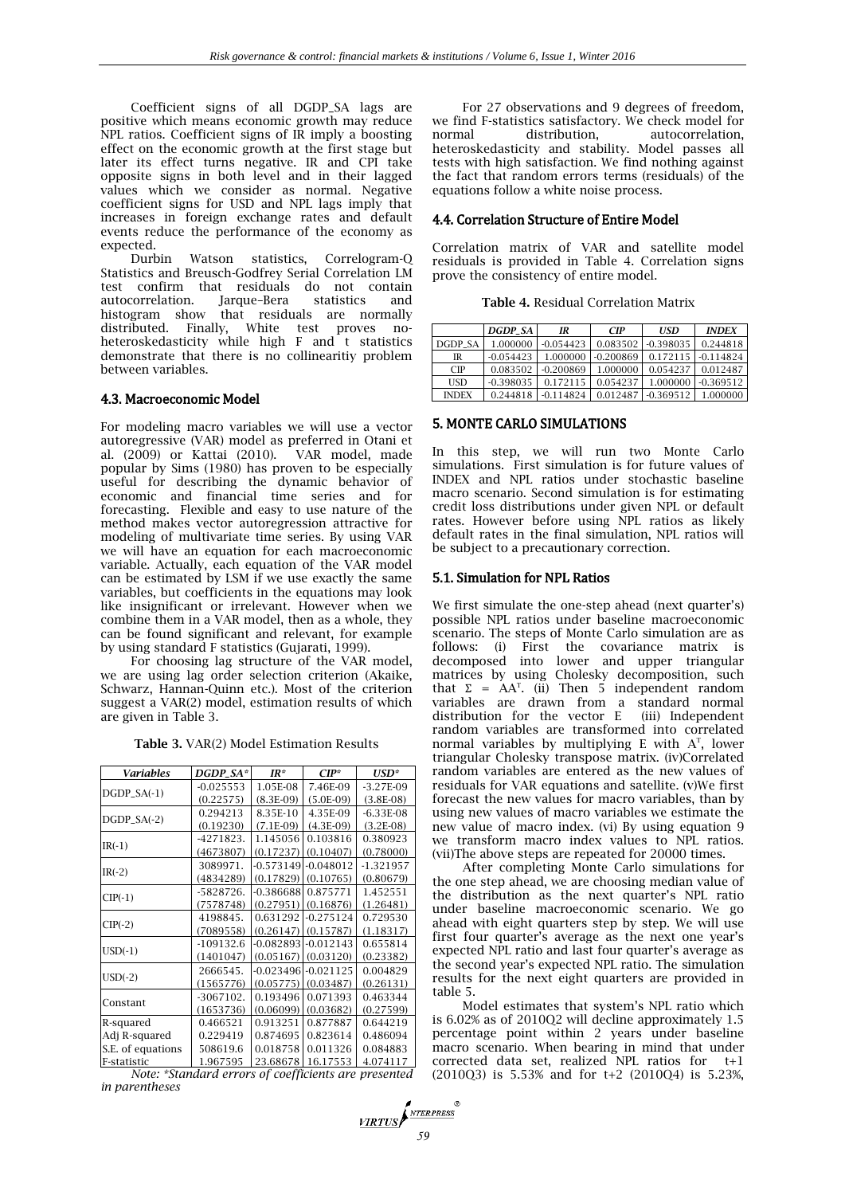Coefficient signs of all DGDP\_SA lags are positive which means economic growth may reduce NPL ratios. Coefficient signs of IR imply a boosting effect on the economic growth at the first stage but later its effect turns negative. IR and CPI take opposite signs in both level and in their lagged values which we consider as normal. Negative coefficient signs for USD and NPL lags imply that increases in foreign exchange rates and default events reduce the performance of the economy as expected.

Durbin Watson statistics, Correlogram-Q Statistics and Breusch-Godfrey Serial Correlation LM test confirm that residuals do not contain autocorrelation. Jarque–Bera statistics and histogram show that residuals are normally distributed. Finally, White test proves noheteroskedasticity while high F and t statistics demonstrate that there is no collinearitiy problem between variables.

# 4.3. Macroeconomic Model

For modeling macro variables we will use a vector autoregressive (VAR) model as preferred in Otani et al. (2009) or Kattai (2010). VAR model, made popular by Sims (1980) has proven to be especially useful for describing the dynamic behavior of economic and financial time series and for forecasting. Flexible and easy to use nature of the method makes vector autoregression attractive for modeling of multivariate time series. By using VAR we will have an equation for each macroeconomic variable. Actually, each equation of the VAR model can be estimated by LSM if we use exactly the same variables, but coefficients in the equations may look like insignificant or irrelevant. However when we combine them in a VAR model, then as a whole, they can be found significant and relevant, for example by using standard F statistics (Gujarati, 1999).

For choosing lag structure of the VAR model, we are using lag order selection criterion (Akaike, Schwarz, Hannan-Quinn etc.). Most of the criterion suggest a VAR(2) model, estimation results of which are given in Table 3.

**Table 3.** VAR(2) Model Estimation Results

| Variables         | DGDP_SA*    | $IR^*$                  | $CIP^*$                | USD*         |
|-------------------|-------------|-------------------------|------------------------|--------------|
|                   | $-0.025553$ | 1.05E-08                | 7.46E-09               | $-3.27E-09$  |
| $DGDP_SA(-1)$     | (0.22575)   | $(8.3E-09)$             | $(5.0E-09)$            | $(3.8E-0.8)$ |
| $DGDP_SA(-2)$     | 0.294213    | 8.35E-10                | 4.35E-09               | $-6.33E-08$  |
|                   | (0.19230)   | $(7.1E-0.9)$            | $(4.3E-09)$            | $(3.2E-0.8)$ |
| $IR(-1)$          | $-4271823.$ | 1.145056                | 0.103816               | 0.380923     |
|                   | (4673807)   | (0.17237)               | (0.10407)              | (0.78000)    |
|                   | 3089971.    | $-0.573149$             | $-0.048012$            | $-1.321957$  |
| $IR(-2)$          | (4834289)   | (0.17829)               | (0.10765)              | (0.80679)    |
|                   | -5828726.   | $-0.386688$             | 0.875771               | 1.452551     |
| $CIP(-1)$         | (7578748)   | $(0.27951)$ $(0.16876)$ |                        | (1.26481)    |
|                   | 4198845.    | 0.631292                | $-0.275124$            | 0.729530     |
| $CIP(-2)$         | (7089558)   | (0.26147)               | (0.15787)              | (1.18317)    |
|                   | $-109132.6$ | $-0.082893$             | $-0.012143$            | 0.655814     |
| $USD(-1)$         | (1401047)   | (0.05167)               | (0.03120)              | (0.23382)    |
|                   | 2666545.    |                         | $-0.023496[-0.021125]$ | 0.004829     |
| $USD(-2)$         | (1565776)   | (0.05775)               | (0.03487)              | (0.26131)    |
|                   | $-3067102.$ | 0.193496                | 0.071393               | 0.463344     |
| Constant          | (1653736)   | (0.06099)               | (0.03682)              | (0.27599)    |
| R-squared         | 0.466521    | 0.913251                | 0.877887               | 0.644219     |
| Adj R-squared     | 0.229419    | 0.874695                | 0.823614               | 0.486094     |
| S.E. of equations | 508619.6    | 0.018758                | 0.011326               | 0.084883     |
| F-statistic       | 1.967595    | 23.68678                | 16.17553               | 4.074117     |

*Note: \*Standard errors of coefficients are presented in parentheses*

For 27 observations and 9 degrees of freedom, we find F-statistics satisfactory. We check model for normal distribution, autocorrelation, normal distribution. autocorrelation, heteroskedasticity and stability. Model passes all tests with high satisfaction. We find nothing against the fact that random errors terms (residuals) of the equations follow a white noise process.

# 4.4. Correlation Structure of Entire Model

Correlation matrix of VAR and satellite model residuals is provided in Table 4. Correlation signs prove the consistency of entire model.

|  | <b>Table 4. Residual Correlation Matrix</b> |
|--|---------------------------------------------|
|--|---------------------------------------------|

|              | <b>DGDP SA</b> | IR          | <b>CIP</b>  | <b>USD</b>  | <b>INDEX</b> |
|--------------|----------------|-------------|-------------|-------------|--------------|
| DGDP SA      | 1.000000       | $-0.054423$ | 0.083502    | $-0.398035$ | 0.244818     |
| IR           | $-0.054423$    | 1.000000    | $-0.200869$ | 0.172115    | $-0.114824$  |
| CIP          | 0.083502       | $-0.200869$ | 1.000000    | 0.054237    | 0.012487     |
| USD          | $-0.398035$    | 0.172115    | 0.054237    | 1.000000    | $-0.369512$  |
| <b>INDEX</b> | 0.244818       | $-0.114824$ | 0.012487    | $-0.369512$ | 1.000000     |

# 5. MONTE CARLO SIMULATIONS

In this step, we will run two Monte Carlo simulations. First simulation is for future values of INDEX and NPL ratios under stochastic baseline macro scenario. Second simulation is for estimating credit loss distributions under given NPL or default rates. However before using NPL ratios as likely default rates in the final simulation, NPL ratios will be subject to a precautionary correction.

# 5.1. Simulation for NPL Ratios

We first simulate the one-step ahead (next quarter's) possible NPL ratios under baseline macroeconomic scenario. The steps of Monte Carlo simulation are as follows: (i) First the covariance matrix is decomposed into lower and upper triangular matrices by using Cholesky decomposition, such that  $\Sigma = AA^{T}$ . (ii) Then 5 independent random variables are drawn from a standard normal distribution for the vector E (iii) Independent random variables are transformed into correlated normal variables by multiplying  $E$  with  $A<sup>T</sup>$ , lower triangular Cholesky transpose matrix. (iv)Correlated random variables are entered as the new values of residuals for VAR equations and satellite. (v)We first forecast the new values for macro variables, than by using new values of macro variables we estimate the new value of macro index. (vi) By using equation 9 we transform macro index values to NPL ratios. (vii)The above steps are repeated for 20000 times.

After completing Monte Carlo simulations for the one step ahead, we are choosing median value of the distribution as the next quarter's NPL ratio under baseline macroeconomic scenario. We go ahead with eight quarters step by step. We will use first four quarter's average as the next one year's expected NPL ratio and last four quarter's average as the second year's expected NPL ratio. The simulation results for the next eight quarters are provided in table 5.

Model estimates that system's NPL ratio which is 6.02% as of 2010Q2 will decline approximately 1.5 percentage point within 2 years under baseline macro scenario. When bearing in mind that under corrected data set, realized NPL ratios for t+1 (2010Q3) is 5.53% and for t+2 (2010Q4) is 5.23%,

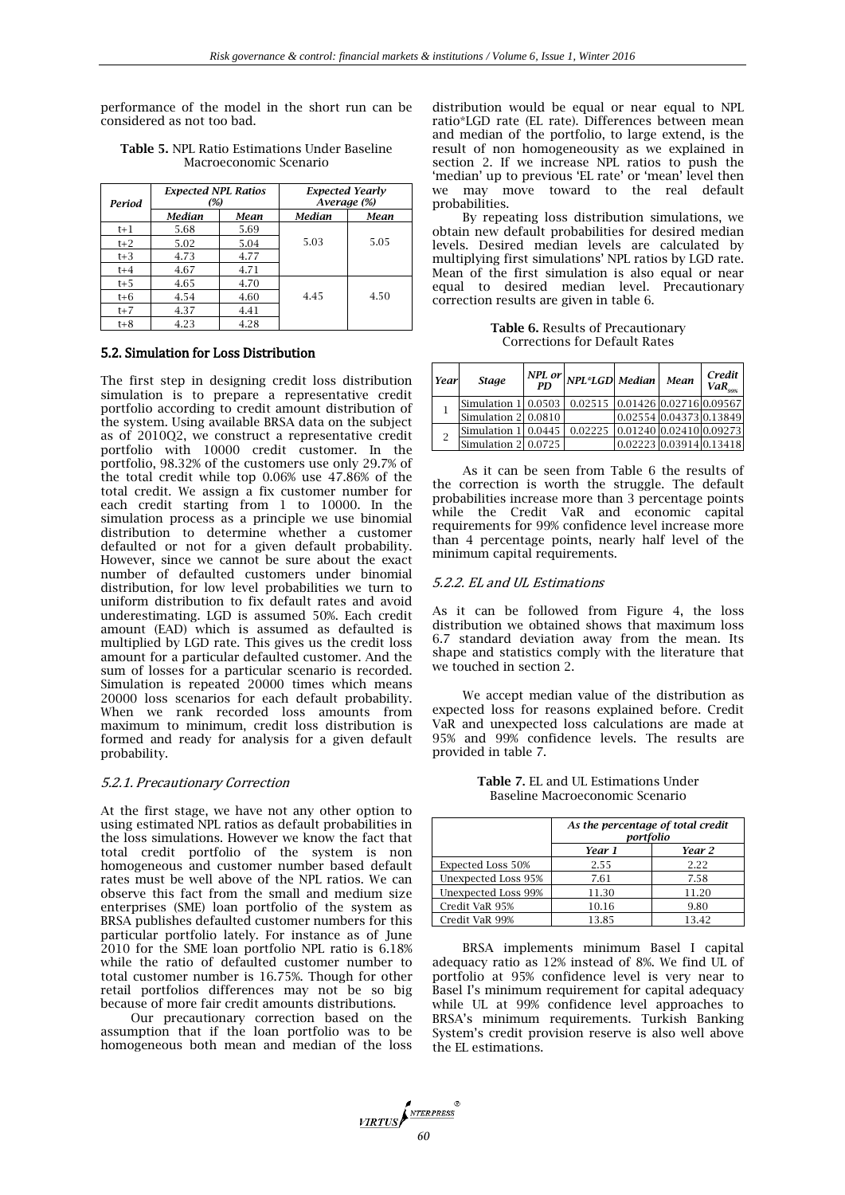performance of the model in the short run can be considered as not too bad.

| Period  | <b>Expected NPL Ratios</b><br>(%) |      | <b>Expected Yearly</b><br>Average (%) |      |  |
|---------|-----------------------------------|------|---------------------------------------|------|--|
|         | <b>Median</b>                     |      | Median                                | Mean |  |
| $t+1$   | 5.68                              | 5.69 |                                       |      |  |
| $t+2$   | 5.02                              | 5.04 | 5.03                                  | 5.05 |  |
| $t+3$   | 4.73                              | 4.77 |                                       |      |  |
| $t+4$   | 4.67                              | 4.71 |                                       |      |  |
| $t+5$   | 4.65                              | 4.70 |                                       |      |  |
| $t + 6$ | 4.54                              | 4.60 | 4.45                                  | 4.50 |  |
| $t+7$   | 4.37<br>4.41                      |      |                                       |      |  |
| $t+8$   | 4.23                              | 4.28 |                                       |      |  |

**Table 5.** NPL Ratio Estimations Under Baseline Macroeconomic Scenario

## 5.2. Simulation for Loss Distribution

The first step in designing credit loss distribution simulation is to prepare a representative credit portfolio according to credit amount distribution of the system. Using available BRSA data on the subject as of 2010Q2, we construct a representative credit portfolio with 10000 credit customer. In the portfolio, 98.32% of the customers use only 29.7% of the total credit while top 0.06% use 47.86% of the total credit. We assign a fix customer number for each credit starting from 1 to 10000. In the simulation process as a principle we use binomial distribution to determine whether a customer defaulted or not for a given default probability. However, since we cannot be sure about the exact number of defaulted customers under binomial distribution, for low level probabilities we turn to uniform distribution to fix default rates and avoid underestimating. LGD is assumed 50%. Each credit amount (EAD) which is assumed as defaulted is multiplied by LGD rate. This gives us the credit loss amount for a particular defaulted customer. And the sum of losses for a particular scenario is recorded. Simulation is repeated 20000 times which means 20000 loss scenarios for each default probability. When we rank recorded loss amounts from maximum to minimum, credit loss distribution is formed and ready for analysis for a given default probability.

#### 5.2.1. Precautionary Correction

At the first stage, we have not any other option to using estimated NPL ratios as default probabilities in the loss simulations. However we know the fact that total credit portfolio of the system is non homogeneous and customer number based default rates must be well above of the NPL ratios. We can observe this fact from the small and medium size enterprises (SME) loan portfolio of the system as BRSA publishes defaulted customer numbers for this particular portfolio lately. For instance as of June 2010 for the SME loan portfolio NPL ratio is 6.18% while the ratio of defaulted customer number to total customer number is 16.75%. Though for other retail portfolios differences may not be so big because of more fair credit amounts distributions.

Our precautionary correction based on the assumption that if the loan portfolio was to be homogeneous both mean and median of the loss distribution would be equal or near equal to NPL ratio\*LGD rate (EL rate). Differences between mean and median of the portfolio, to large extend, is the result of non homogeneousity as we explained in section 2. If we increase NPL ratios to push the 'median' up to previous 'EL rate' or 'mean' level then we may move toward to the real default probabilities.

By repeating loss distribution simulations, we obtain new default probabilities for desired median levels. Desired median levels are calculated by multiplying first simulations' NPL ratios by LGD rate. Mean of the first simulation is also equal or near equal to desired median level. Precautionary correction results are given in table 6.

**Table 6.** Results of Precautionary Corrections for Default Rates

| Year         | <b>Stage</b>           | PD | $\left  \frac{NPL}{2}$ or $\right $ $NPL$ *LGD   Median   Mean |                          | Credit<br>$VaR_{\text{new}}$ |
|--------------|------------------------|----|----------------------------------------------------------------|--------------------------|------------------------------|
|              | Simulation 1 0.0503    |    | 0.02515 0.01426 0.02716 0.09567                                |                          |                              |
|              | Simulation 2 0.0810    |    |                                                                | 0.02554 0.04373 0.13849  |                              |
|              | Simulation 1 0.0445    |    | 0.02225                                                        | 10.0124010.0241010.09273 |                              |
| <sup>2</sup> | Simulation $2 0.0725 $ |    |                                                                | 0.02223 0.03914 0.13418  |                              |

As it can be seen from Table 6 the results of the correction is worth the struggle. The default probabilities increase more than 3 percentage points while the Credit VaR and economic capital requirements for 99% confidence level increase more than 4 percentage points, nearly half level of the minimum capital requirements.

# 5.2.2. EL and UL Estimations

As it can be followed from Figure 4, the loss distribution we obtained shows that maximum loss 6.7 standard deviation away from the mean. Its shape and statistics comply with the literature that we touched in section 2.

We accept median value of the distribution as expected loss for reasons explained before. Credit VaR and unexpected loss calculations are made at 95% and 99% confidence levels. The results are provided in table 7.

| <b>Table 7. EL and UL Estimations Under</b> |  |
|---------------------------------------------|--|
| Baseline Macroeconomic Scenario             |  |

|                          | As the percentage of total credit<br>portfolio |       |  |  |  |
|--------------------------|------------------------------------------------|-------|--|--|--|
|                          | Year 2<br>Year 1                               |       |  |  |  |
| <b>Expected Loss 50%</b> | 2.55                                           | 2.22  |  |  |  |
| Unexpected Loss 95%      | 7.61                                           | 7.58  |  |  |  |
| Unexpected Loss 99%      | 11.30                                          | 11.20 |  |  |  |
| Credit VaR 95%           | 10.16                                          | 9.80  |  |  |  |
| Credit VaR 99%           | 13.85                                          | 13.42 |  |  |  |

BRSA implements minimum Basel I capital adequacy ratio as 12% instead of 8%. We find UL of portfolio at 95% confidence level is very near to Basel I's minimum requirement for capital adequacy while UL at 99% confidence level approaches to BRSA's minimum requirements. Turkish Banking System's credit provision reserve is also well above the EL estimations.

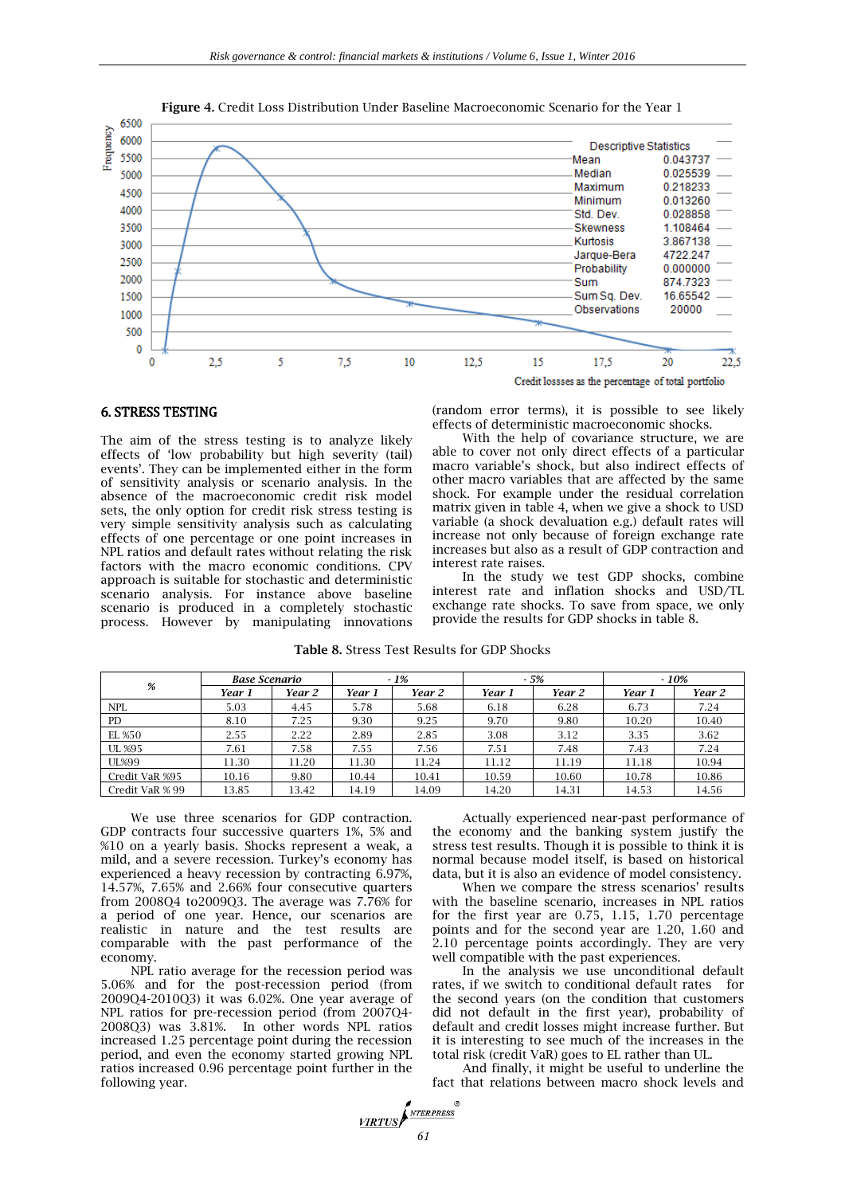

**Figure 4.** Credit Loss Distribution Under Baseline Macroeconomic Scenario for the Year 1

## 6. STRESS TESTING

The aim of the stress testing is to analyze likely effects of 'low probability but high severity (tail) events'. They can be implemented either in the form of sensitivity analysis or scenario analysis. In the absence of the macroeconomic credit risk model sets, the only option for credit risk stress testing is very simple sensitivity analysis such as calculating effects of one percentage or one point increases in NPL ratios and default rates without relating the risk factors with the macro economic conditions. CPV approach is suitable for stochastic and deterministic scenario analysis. For instance above baseline scenario is produced in a completely stochastic process. However by manipulating innovations

(random error terms), it is possible to see likely effects of deterministic macroeconomic shocks.

With the help of covariance structure, we are able to cover not only direct effects of a particular macro variable's shock, but also indirect effects of other macro variables that are affected by the same shock. For example under the residual correlation matrix given in table 4, when we give a shock to USD variable (a shock devaluation e.g.) default rates will increase not only because of foreign exchange rate increases but also as a result of GDP contraction and interest rate raises.

In the study we test GDP shocks, combine interest rate and inflation shocks and USD/TL exchange rate shocks. To save from space, we only provide the results for GDP shocks in table 8.

| %               | <b>Base Scenario</b> |        | $-1%$  |        | $-5%$  |        | $-10%$ |        |
|-----------------|----------------------|--------|--------|--------|--------|--------|--------|--------|
|                 | Year 1               | Year 2 | Year 1 | Year 2 | Year 1 | Year 2 | Year 1 | Year 2 |
| <b>NPL</b>      | 5.03                 | 4.45   | 5.78   | 5.68   | 6.18   | 6.28   | 6.73   | 7.24   |
| <b>PD</b>       | 8.10                 | 7.25   | 9.30   | 9.25   | 9.70   | 9.80   | 10.20  | 10.40  |
| EL %50          | 2.55                 | 2.22   | 2.89   | 2.85   | 3.08   | 3.12   | 3.35   | 3.62   |
| UL %95          | 7.61                 | 7.58   | 7.55   | 7.56   | 7.51   | 7.48   | 7.43   | 7.24   |
| <b>UL%99</b>    | 11.30                | 11.20  | 11.30  | 11.24  | 11.12  | 11.19  | 11.18  | 10.94  |
| Credit VaR %95  | 10.16                | 9.80   | 10.44  | 10.41  | 10.59  | 10.60  | 10.78  | 10.86  |
| Credit VaR % 99 | 13.85                | 13.42  | 14.19  | 14.09  | 14.20  | 14.31  | 14.53  | 14.56  |

**Table 8.** Stress Test Results for GDP Shocks

We use three scenarios for GDP contraction. GDP contracts four successive quarters 1%, 5% and %10 on a yearly basis. Shocks represent a weak, a mild, and a severe recession. Turkey's economy has experienced a heavy recession by contracting 6.97%, 14.57%, 7.65% and 2.66% four consecutive quarters from 2008Q4 to2009Q3. The average was 7.76% for a period of one year. Hence, our scenarios are realistic in nature and the test results are comparable with the past performance of the economy.

NPL ratio average for the recession period was 5.06% and for the post-recession period (from 2009Q4-2010Q3) it was 6.02%. One year average of NPL ratios for pre-recession period (from 2007Q4- 2008Q3) was 3.81%. In other words NPL ratios increased 1.25 percentage point during the recession period, and even the economy started growing NPL ratios increased 0.96 percentage point further in the following year.

Actually experienced near-past performance of the economy and the banking system justify the stress test results. Though it is possible to think it is normal because model itself, is based on historical data, but it is also an evidence of model consistency.

When we compare the stress scenarios' results with the baseline scenario, increases in NPL ratios for the first year are 0.75, 1.15, 1.70 percentage points and for the second year are 1.20, 1.60 and 2.10 percentage points accordingly. They are very well compatible with the past experiences.

In the analysis we use unconditional default rates, if we switch to conditional default rates for the second years (on the condition that customers did not default in the first year), probability of default and credit losses might increase further. But it is interesting to see much of the increases in the total risk (credit VaR) goes to EL rather than UL.

And finally, it might be useful to underline the fact that relations between macro shock levels and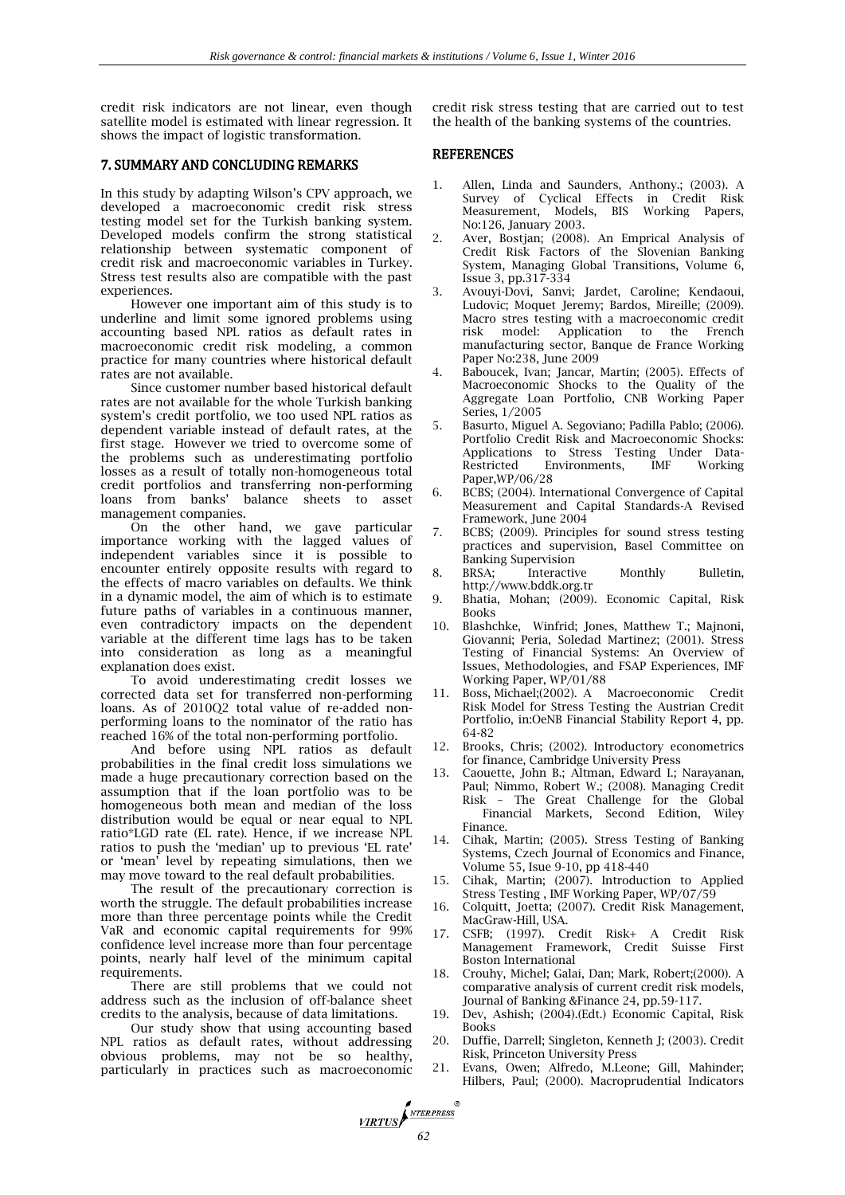credit risk indicators are not linear, even though satellite model is estimated with linear regression. It shows the impact of logistic transformation.

## 7. SUMMARY AND CONCLUDING REMARKS

In this study by adapting Wilson's CPV approach, we developed a macroeconomic credit risk stress testing model set for the Turkish banking system. Developed models confirm the strong statistical relationship between systematic component of credit risk and macroeconomic variables in Turkey. Stress test results also are compatible with the past experiences.

However one important aim of this study is to underline and limit some ignored problems using accounting based NPL ratios as default rates in macroeconomic credit risk modeling, a common practice for many countries where historical default rates are not available.

Since customer number based historical default rates are not available for the whole Turkish banking system's credit portfolio, we too used NPL ratios as dependent variable instead of default rates, at the first stage. However we tried to overcome some of the problems such as underestimating portfolio losses as a result of totally non-homogeneous total credit portfolios and transferring non-performing loans from banks' balance sheets to asset management companies.

On the other hand, we gave particular importance working with the lagged values of independent variables since it is possible to encounter entirely opposite results with regard to the effects of macro variables on defaults. We think in a dynamic model, the aim of which is to estimate future paths of variables in a continuous manner, even contradictory impacts on the dependent variable at the different time lags has to be taken into consideration as long as a meaningful explanation does exist.

To avoid underestimating credit losses we corrected data set for transferred non-performing loans. As of 2010Q2 total value of re-added nonperforming loans to the nominator of the ratio has reached 16% of the total non-performing portfolio.

And before using NPL ratios as default probabilities in the final credit loss simulations we made a huge precautionary correction based on the assumption that if the loan portfolio was to be homogeneous both mean and median of the loss distribution would be equal or near equal to NPL ratio\*LGD rate (EL rate). Hence, if we increase NPL ratios to push the 'median' up to previous 'EL rate' or 'mean' level by repeating simulations, then we may move toward to the real default probabilities.

The result of the precautionary correction is worth the struggle. The default probabilities increase more than three percentage points while the Credit VaR and economic capital requirements for 99% confidence level increase more than four percentage points, nearly half level of the minimum capital requirements.

There are still problems that we could not address such as the inclusion of off-balance sheet credits to the analysis, because of data limitations.

Our study show that using accounting based NPL ratios as default rates, without addressing obvious problems, may not be so healthy, particularly in practices such as macroeconomic

credit risk stress testing that are carried out to test the health of the banking systems of the countries.

## REFERENCES

- 1. Allen, Linda and Saunders, Anthony.; (2003). A Survey of Cyclical Effects in Credit Risk Measurement, Models, BIS Working Papers, No:126, January 2003.
- 2. Aver, Bostjan; (2008). An Emprical Analysis of Credit Risk Factors of the Slovenian Banking System, Managing Global Transitions, Volume 6, Issue 3, pp.317-334
- 3. Avouyi-Dovi, Sanvi; Jardet, Caroline; Kendaoui, Ludovic; Moquet Jeremy; Bardos, Mireille; (2009). Macro stres testing with a macroeconomic credit risk model: Application to the French manufacturing sector, Banque de France Working Paper No:238, June 2009
- 4. Baboucek, Ivan; Jancar, Martin; (2005). Effects of Macroeconomic Shocks to the Quality of the Aggregate Loan Portfolio, CNB Working Paper Series, 1/2005
- 5. Basurto, Miguel A. Segoviano; Padilla Pablo; (2006). Portfolio Credit Risk and Macroeconomic Shocks: Applications to Stress Testing Under Data-Restricted Environments, IMF Working Paper,WP/06/28
- 6. BCBS; (2004). International Convergence of Capital Measurement and Capital Standards-A Revised Framework, June 2004
- 7. BCBS; (2009). Principles for sound stress testing practices and supervision, Basel Committee on Banking Supervision
- 8. BRSA; Interactive Monthly Bulletin, http://www.bddk.org.tr
- 9. Bhatia, Mohan; (2009). Economic Capital, Risk Books
- 10. Blashchke, Winfrid; Jones, Matthew T.; Majnoni, Giovanni; Peria, Soledad Martinez; (2001). Stress Testing of Financial Systems: An Overview of Issues, Methodologies, and FSAP Experiences, IMF Working Paper, WP/01/88
- 11. Boss, Michael;(2002). A Macroeconomic Credit Risk Model for Stress Testing the Austrian Credit Portfolio, in:OeNB Financial Stability Report 4, pp. 64-82
- 12. Brooks, Chris; (2002). Introductory econometrics for finance, Cambridge University Press
- 13. Caouette, John B.; Altman, Edward I.; Narayanan, Paul; Nimmo, Robert W.; (2008). Managing Credit Risk – The Great Challenge for the Global Financial Markets, Second Edition, Wiley Finance.
- 14. Cihak, Martin; (2005). Stress Testing of Banking Systems, Czech Journal of Economics and Finance, Volume 55, Isue 9-10, pp 418-440
- 15. Cihak, Martin; (2007). Introduction to Applied Stress Testing , IMF Working Paper, WP/07/59
- 16. Colquitt, Joetta; (2007). Credit Risk Management, MacGraw-Hill, USA.
- 17. CSFB; (1997). Credit Risk+ A Credit Risk Management Framework, Credit Suisse First Boston International
- 18. Crouhy, Michel; Galai, Dan; Mark, Robert;(2000). A comparative analysis of current credit risk models, Journal of Banking &Finance 24, pp.59-117.
- 19. Dev, Ashish; (2004).(Edt.) Economic Capital, Risk Books
- 20. Duffie, Darrell; Singleton, Kenneth J; (2003). Credit Risk, Princeton University Press
- 21. Evans, Owen; Alfredo, M.Leone; Gill, Mahinder; Hilbers, Paul; (2000). Macroprudential Indicators